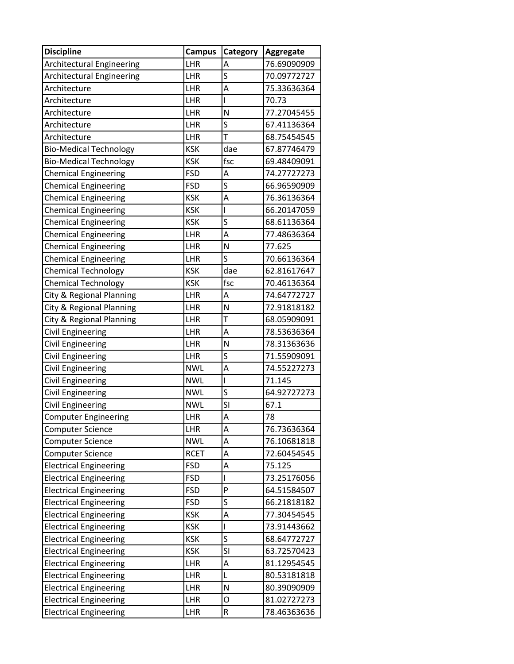| <b>Discipline</b>                | <b>Campus</b> | Category                 | Aggregate   |
|----------------------------------|---------------|--------------------------|-------------|
| Architectural Engineering        | LHR           | A                        | 76.69090909 |
| <b>Architectural Engineering</b> | LHR           | S                        | 70.09772727 |
| Architecture                     | LHR           | A                        | 75.33636364 |
| Architecture                     | LHR           | ı                        | 70.73       |
| Architecture                     | LHR           | N                        | 77.27045455 |
| Architecture                     | LHR           | S                        | 67.41136364 |
| Architecture                     | LHR           | T                        | 68.75454545 |
| <b>Bio-Medical Technology</b>    | <b>KSK</b>    | dae                      | 67.87746479 |
| <b>Bio-Medical Technology</b>    | <b>KSK</b>    | fsc                      | 69.48409091 |
| <b>Chemical Engineering</b>      | <b>FSD</b>    | A                        | 74.27727273 |
| <b>Chemical Engineering</b>      | <b>FSD</b>    | $\overline{\mathsf{S}}$  | 66.96590909 |
| <b>Chemical Engineering</b>      | <b>KSK</b>    | A                        | 76.36136364 |
| <b>Chemical Engineering</b>      | <b>KSK</b>    | $\overline{\phantom{a}}$ | 66.20147059 |
| <b>Chemical Engineering</b>      | <b>KSK</b>    | S                        | 68.61136364 |
| <b>Chemical Engineering</b>      | LHR           | A                        | 77.48636364 |
| <b>Chemical Engineering</b>      | LHR           | N                        | 77.625      |
| <b>Chemical Engineering</b>      | LHR           | S                        | 70.66136364 |
| <b>Chemical Technology</b>       | <b>KSK</b>    | dae                      | 62.81617647 |
| <b>Chemical Technology</b>       | <b>KSK</b>    | fsc                      | 70.46136364 |
| City & Regional Planning         | LHR           | A                        | 74.64772727 |
| City & Regional Planning         | LHR           | N                        | 72.91818182 |
| City & Regional Planning         | LHR           | T                        | 68.05909091 |
| Civil Engineering                | LHR           | A                        | 78.53636364 |
| Civil Engineering                | LHR           | N                        | 78.31363636 |
| Civil Engineering                | LHR           | S                        | 71.55909091 |
| Civil Engineering                | <b>NWL</b>    | A                        | 74.55227273 |
| <b>Civil Engineering</b>         | <b>NWL</b>    | $\overline{\phantom{a}}$ | 71.145      |
| Civil Engineering                | <b>NWL</b>    | S                        | 64.92727273 |
| <b>Civil Engineering</b>         | <b>NWL</b>    | SI                       | 67.1        |
| <b>Computer Engineering</b>      | LHR           | A                        | 78          |
| <b>Computer Science</b>          | LHR           | A                        | 76.73636364 |
| <b>Computer Science</b>          | <b>NWL</b>    | A                        | 76.10681818 |
| <b>Computer Science</b>          | <b>RCET</b>   | A                        | 72.60454545 |
| <b>Electrical Engineering</b>    | <b>FSD</b>    | A                        | 75.125      |
| <b>Electrical Engineering</b>    | <b>FSD</b>    | I                        | 73.25176056 |
| <b>Electrical Engineering</b>    | <b>FSD</b>    | ${\sf P}$                | 64.51584507 |
| <b>Electrical Engineering</b>    | <b>FSD</b>    | S                        | 66.21818182 |
| <b>Electrical Engineering</b>    | <b>KSK</b>    | A                        | 77.30454545 |
| <b>Electrical Engineering</b>    | <b>KSK</b>    | $\overline{\phantom{a}}$ | 73.91443662 |
| <b>Electrical Engineering</b>    | <b>KSK</b>    | S                        | 68.64772727 |
| <b>Electrical Engineering</b>    | <b>KSK</b>    | SI                       | 63.72570423 |
| <b>Electrical Engineering</b>    | LHR           | A                        | 81.12954545 |
| <b>Electrical Engineering</b>    | LHR           | L                        | 80.53181818 |
| <b>Electrical Engineering</b>    | LHR           | N                        | 80.39090909 |
| <b>Electrical Engineering</b>    | LHR           | O                        | 81.02727273 |
| <b>Electrical Engineering</b>    | LHR           | ${\sf R}$                | 78.46363636 |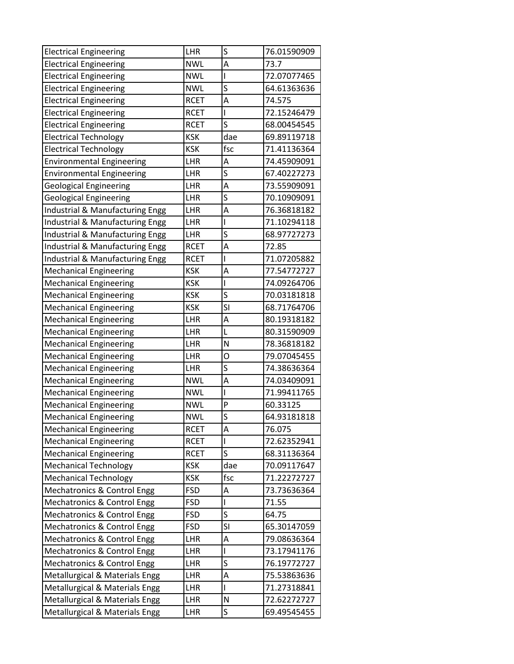| <b>Electrical Engineering</b>          | LHR         | S                       | 76.01590909 |
|----------------------------------------|-------------|-------------------------|-------------|
| <b>Electrical Engineering</b>          | <b>NWL</b>  | A                       | 73.7        |
| <b>Electrical Engineering</b>          | <b>NWL</b>  | L                       | 72.07077465 |
| <b>Electrical Engineering</b>          | <b>NWL</b>  | S                       | 64.61363636 |
| <b>Electrical Engineering</b>          | <b>RCET</b> | A                       | 74.575      |
| <b>Electrical Engineering</b>          | <b>RCET</b> | I                       | 72.15246479 |
| <b>Electrical Engineering</b>          | <b>RCET</b> | S                       | 68.00454545 |
| <b>Electrical Technology</b>           | <b>KSK</b>  | dae                     | 69.89119718 |
| <b>Electrical Technology</b>           | <b>KSK</b>  | fsc                     | 71.41136364 |
| <b>Environmental Engineering</b>       | LHR         | Α                       | 74.45909091 |
| <b>Environmental Engineering</b>       | LHR         | S                       | 67.40227273 |
| <b>Geological Engineering</b>          | LHR         | A                       | 73.55909091 |
| <b>Geological Engineering</b>          | LHR         | S                       | 70.10909091 |
| Industrial & Manufacturing Engg        | LHR         | A                       | 76.36818182 |
| Industrial & Manufacturing Engg        | LHR         | I                       | 71.10294118 |
| Industrial & Manufacturing Engg        | LHR         | S                       | 68.97727273 |
| Industrial & Manufacturing Engg        | <b>RCET</b> | A                       | 72.85       |
| Industrial & Manufacturing Engg        | <b>RCET</b> | I                       | 71.07205882 |
| <b>Mechanical Engineering</b>          | <b>KSK</b>  | A                       | 77.54772727 |
| <b>Mechanical Engineering</b>          | <b>KSK</b>  | I                       | 74.09264706 |
| <b>Mechanical Engineering</b>          | <b>KSK</b>  | S                       | 70.03181818 |
| <b>Mechanical Engineering</b>          | <b>KSK</b>  | $\overline{\mathsf{S}}$ | 68.71764706 |
| <b>Mechanical Engineering</b>          | LHR         | Α                       | 80.19318182 |
| <b>Mechanical Engineering</b>          | LHR         | L                       | 80.31590909 |
| <b>Mechanical Engineering</b>          | LHR         | N                       | 78.36818182 |
| <b>Mechanical Engineering</b>          | LHR         | O                       | 79.07045455 |
| <b>Mechanical Engineering</b>          | LHR         | S                       | 74.38636364 |
| <b>Mechanical Engineering</b>          | <b>NWL</b>  | Α                       | 74.03409091 |
| <b>Mechanical Engineering</b>          | <b>NWL</b>  |                         | 71.99411765 |
| <b>Mechanical Engineering</b>          | <b>NWL</b>  | P                       | 60.33125    |
| <b>Mechanical Engineering</b>          | <b>NWL</b>  | S                       | 64.93181818 |
| <b>Mechanical Engineering</b>          | <b>RCET</b> | Α                       | 76.075      |
| <b>Mechanical Engineering</b>          | <b>RCET</b> |                         | 72.62352941 |
| <b>Mechanical Engineering</b>          | <b>RCET</b> | S                       | 68.31136364 |
| <b>Mechanical Technology</b>           | <b>KSK</b>  | dae                     | 70.09117647 |
| <b>Mechanical Technology</b>           | <b>KSK</b>  | fsc                     | 71.22272727 |
| <b>Mechatronics &amp; Control Engg</b> | <b>FSD</b>  | Α                       | 73.73636364 |
| <b>Mechatronics &amp; Control Engg</b> | <b>FSD</b>  | I                       | 71.55       |
| Mechatronics & Control Engg            | <b>FSD</b>  | S                       | 64.75       |
| <b>Mechatronics &amp; Control Engg</b> | <b>FSD</b>  | SI                      | 65.30147059 |
| <b>Mechatronics &amp; Control Engg</b> | LHR         | Α                       | 79.08636364 |
| Mechatronics & Control Engg            | LHR         | L                       | 73.17941176 |
| Mechatronics & Control Engg            | LHR         | S                       | 76.19772727 |
| Metallurgical & Materials Engg         | LHR         | Α                       | 75.53863636 |
| Metallurgical & Materials Engg         | LHR         | I                       | 71.27318841 |
| Metallurgical & Materials Engg         | LHR         | N                       | 72.62272727 |
| Metallurgical & Materials Engg         | LHR         | S                       | 69.49545455 |